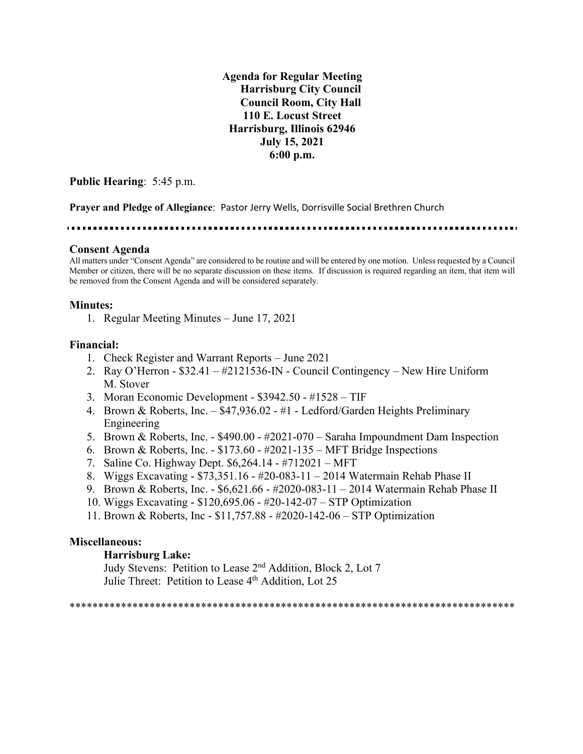**Agenda for Regular Meeting Harrisburg City Council Council Room, City Hall 110 E. Locust Street Harrisburg, Illinois 62946 July 15, 2021 6:00 p.m.**

**Public Hearing**: 5:45 p.m.

**Prayer and Pledge of Allegiance**: Pastor Jerry Wells, Dorrisville Social Brethren Church

#### **Consent Agenda**

All matters under "Consent Agenda" are considered to be routine and will be entered by one motion. Unless requested by a Council Member or citizen, there will be no separate discussion on these items. If discussion is required regarding an item, that item will be removed from the Consent Agenda and will be considered separately.

#### **Minutes:**

1. Regular Meeting Minutes – June 17, 2021

#### **Financial:**

- 1. Check Register and Warrant Reports June 2021
- 2. Ray O'Herron \$32.41 #2121536-IN Council Contingency New Hire Uniform M. Stover
- 3. Moran Economic Development \$3942.50 #1528 TIF
- 4. Brown & Roberts, Inc. \$47,936.02 #1 Ledford/Garden Heights Preliminary Engineering
- 5. Brown & Roberts, Inc. \$490.00 #2021-070 Saraha Impoundment Dam Inspection
- 6. Brown & Roberts, Inc. \$173.60 #2021-135 MFT Bridge Inspections
- 7. Saline Co. Highway Dept. \$6,264.14 #712021 MFT
- 8. Wiggs Excavating \$73,351.16 #20-083-11 2014 Watermain Rehab Phase II
- 9. Brown & Roberts, Inc. \$6,621.66 #2020-083-11 2014 Watermain Rehab Phase II
- 10. Wiggs Excavating \$120,695.06 #20-142-07 STP Optimization
- 11. Brown & Roberts, Inc \$11,757.88 #2020-142-06 STP Optimization

#### **Miscellaneous:**

#### **Harrisburg Lake:**

Judy Stevens: Petition to Lease 2nd Addition, Block 2, Lot 7 Julie Threet: Petition to Lease 4<sup>th</sup> Addition, Lot 25

\*\*\*\*\*\*\*\*\*\*\*\*\*\*\*\*\*\*\*\*\*\*\*\*\*\*\*\*\*\*\*\*\*\*\*\*\*\*\*\*\*\*\*\*\*\*\*\*\*\*\*\*\*\*\*\*\*\*\*\*\*\*\*\*\*\*\*\*\*\*\*\*\*\*\*\*\*\*